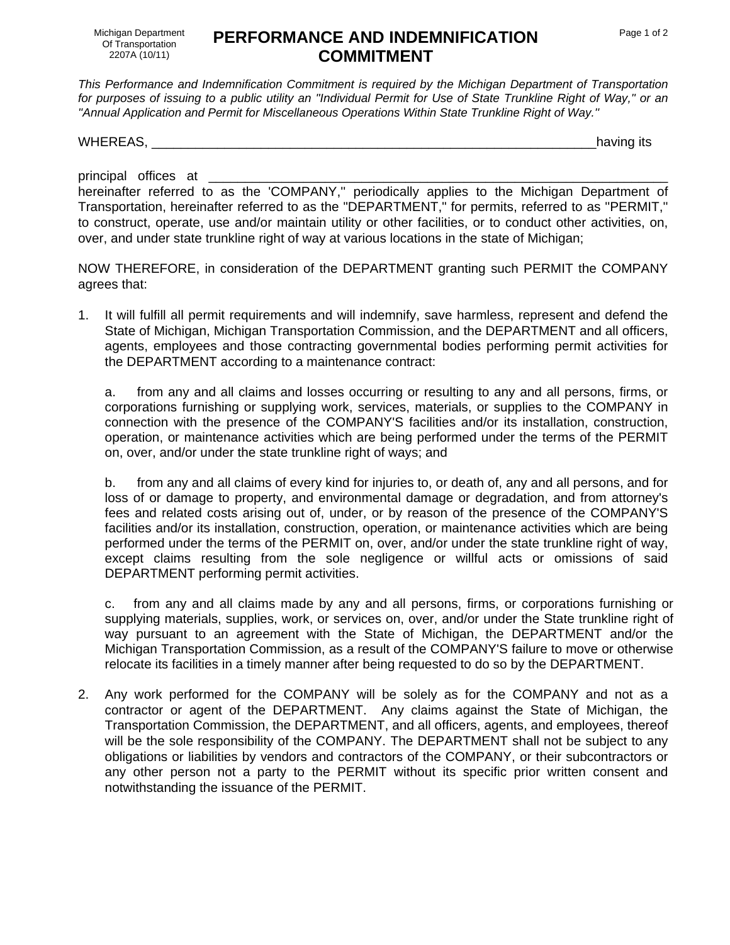## **PERFORMANCE AND INDEMNIFICATION COMMITMENT**

*This Performance and Indemnification Commitment is required by the Michigan Department of Transportation for purposes of issuing to a public utility an ''Individual Permit for Use of State Trunkline Right of Way,'' or an ''Annual Application and Permit for Miscellaneous Operations Within State Trunkline Right of Way.''* 

WHEREAS, The contract of the contract of the contract of the contract of the contract of the contract of the contract of the contract of the contract of the contract of the contract of the contract of the contract of the c

principal offices at

hereinafter referred to as the 'COMPANY,'' periodically applies to the Michigan Department of Transportation, hereinafter referred to as the "DEPARTMENT," for permits, referred to as ''PERMIT,'' to construct, operate, use and/or maintain utility or other facilities, or to conduct other activities, on, over, and under state trunkline right of way at various locations in the state of Michigan;

NOW THEREFORE, in consideration of the DEPARTMENT granting such PERMIT the COMPANY agrees that:

1. It will fulfill all permit requirements and will indemnify, save harmless, represent and defend the State of Michigan, Michigan Transportation Commission, and the DEPARTMENT and all officers, agents, employees and those contracting governmental bodies performing permit activities for the DEPARTMENT according to a maintenance contract:

a. from any and all claims and losses occurring or resulting to any and all persons, firms, or corporations furnishing or supplying work, services, materials, or supplies to the COMPANY in connection with the presence of the COMPANY'S facilities and/or its installation, construction, operation, or maintenance activities which are being performed under the terms of the PERMIT on, over, and/or under the state trunkline right of ways; and

b. from any and all claims of every kind for injuries to, or death of, any and all persons, and for loss of or damage to property, and environmental damage or degradation, and from attorney's fees and related costs arising out of, under, or by reason of the presence of the COMPANY'S facilities and/or its installation, construction, operation, or maintenance activities which are being performed under the terms of the PERMIT on, over, and/or under the state trunkline right of way, except claims resulting from the sole negligence or willful acts or omissions of said DEPARTMENT performing permit activities.

c. from any and all claims made by any and all persons, firms, or corporations furnishing or supplying materials, supplies, work, or services on, over, and/or under the State trunkline right of way pursuant to an agreement with the State of Michigan, the DEPARTMENT and/or the Michigan Transportation Commission, as a result of the COMPANY'S failure to move or otherwise relocate its facilities in a timely manner after being requested to do so by the DEPARTMENT.

2. Any work performed for the COMPANY will be solely as for the COMPANY and not as a contractor or agent of the DEPARTMENT. Any claims against the State of Michigan, the Transportation Commission, the DEPARTMENT, and all officers, agents, and employees, thereof will be the sole responsibility of the COMPANY. The DEPARTMENT shall not be subject to any obligations or liabilities by vendors and contractors of the COMPANY, or their subcontractors or any other person not a party to the PERMIT without its specific prior written consent and notwithstanding the issuance of the PERMIT.